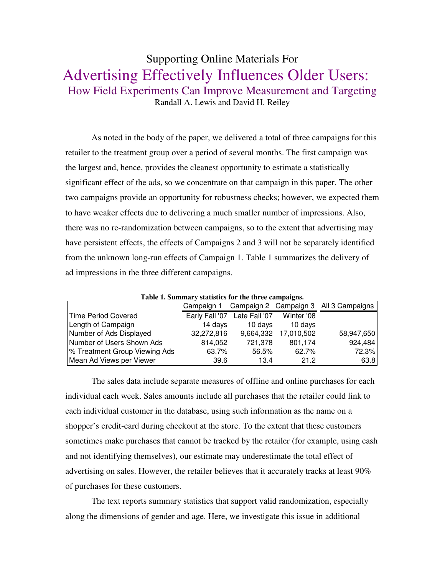## Supporting Online Materials For Advertising Effectively Influences Older Users: How Field Experiments Can Improve Measurement and Targeting Randall A. Lewis and David H. Reiley

As noted in the body of the paper, we delivered a total of three campaigns for this retailer to the treatment group over a period of several months. The first campaign was the largest and, hence, provides the cleanest opportunity to estimate a statistically significant effect of the ads, so we concentrate on that campaign in this paper. The other two campaigns provide an opportunity for robustness checks; however, we expected them to have weaker effects due to delivering a much smaller number of impressions. Also, there was no re-randomization between campaigns, so to the extent that advertising may have persistent effects, the effects of Campaigns 2 and 3 will not be separately identified from the unknown long-run effects of Campaign 1. Table 1 summarizes the delivery of ad impressions in the three different campaigns.

| Table 1. Summary statistics for the three campaigns. |            |                              |            |                                       |  |  |  |
|------------------------------------------------------|------------|------------------------------|------------|---------------------------------------|--|--|--|
|                                                      | Campaign 1 |                              |            | Campaign 2 Campaign 3 All 3 Campaigns |  |  |  |
| Time Period Covered                                  |            | Early Fall '07 Late Fall '07 | Winter '08 |                                       |  |  |  |
| Length of Campaign                                   | 14 days    | 10 days                      | 10 days    |                                       |  |  |  |
| Number of Ads Displayed                              | 32,272,816 | 9,664,332                    | 17,010,502 | 58,947,650                            |  |  |  |
| Number of Users Shown Ads                            | 814,052    | 721,378                      | 801,174    | 924,484                               |  |  |  |
| % Treatment Group Viewing Ads                        | 63.7%      | 56.5%                        | 62.7%      | 72.3%                                 |  |  |  |
| Mean Ad Views per Viewer                             | 39.6       | 13.4                         | 21.2       | 63.8                                  |  |  |  |

**Table 1. Summary statistics for the three campaigns.** 

The sales data include separate measures of offline and online purchases for each individual each week. Sales amounts include all purchases that the retailer could link to each individual customer in the database, using such information as the name on a shopper's credit-card during checkout at the store. To the extent that these customers sometimes make purchases that cannot be tracked by the retailer (for example, using cash and not identifying themselves), our estimate may underestimate the total effect of advertising on sales. However, the retailer believes that it accurately tracks at least 90% of purchases for these customers.

The text reports summary statistics that support valid randomization, especially along the dimensions of gender and age. Here, we investigate this issue in additional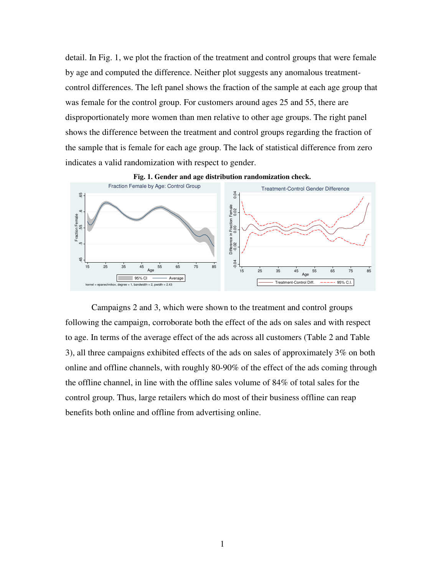detail. In Fig. 1, we plot the fraction of the treatment and control groups that were female by age and computed the difference. Neither plot suggests any anomalous treatmentcontrol differences. The left panel shows the fraction of the sample at each age group that was female for the control group. For customers around ages 25 and 55, there are disproportionately more women than men relative to other age groups. The right panel shows the difference between the treatment and control groups regarding the fraction of the sample that is female for each age group. The lack of statistical difference from zero indicates a valid randomization with respect to gender.





Campaigns 2 and 3, which were shown to the treatment and control groups following the campaign, corroborate both the effect of the ads on sales and with respect to age. In terms of the average effect of the ads across all customers (Table 2 and Table 3), all three campaigns exhibited effects of the ads on sales of approximately 3% on both online and offline channels, with roughly 80-90% of the effect of the ads coming through the offline channel, in line with the offline sales volume of 84% of total sales for the control group. Thus, large retailers which do most of their business offline can reap Benefits both online and offline from advertising online.<br>
Benefits both online and offline from advertising online.<br>
Sensitive of the adverage effect of the ads across all<br>  $\frac{1}{2}$ . Thus, large retailers which do most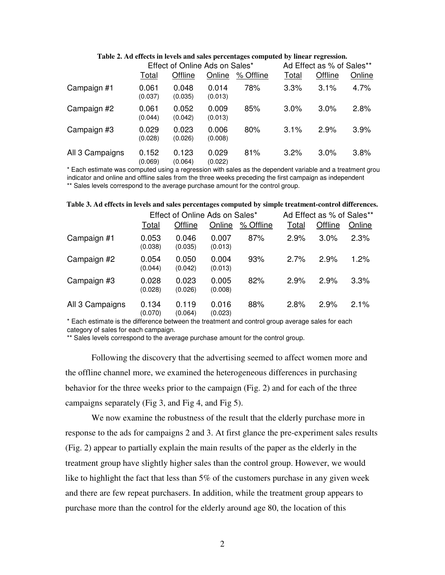|                 | Effect of Online Ads on Sales* |                  |                  |           | Ad Effect as % of Sales** |         |        |
|-----------------|--------------------------------|------------------|------------------|-----------|---------------------------|---------|--------|
|                 | Total                          | Offline          | Online           | % Offline | Total                     | Offline | Online |
| Campaign #1     | 0.061<br>(0.037)               | 0.048<br>(0.035) | 0.014<br>(0.013) | 78%       | 3.3%                      | 3.1%    | 4.7%   |
| Campaign #2     | 0.061<br>(0.044)               | 0.052<br>(0.042) | 0.009<br>(0.013) | 85%       | $3.0\%$                   | $3.0\%$ | 2.8%   |
| Campaign #3     | 0.029<br>(0.028)               | 0.023<br>(0.026) | 0.006<br>(0.008) | 80%       | 3.1%                      | 2.9%    | 3.9%   |
| All 3 Campaigns | 0.152<br>(0.069)               | 0.123<br>(0.064) | 0.029<br>(0.022) | 81%       | 3.2%                      | 3.0%    | 3.8%   |

**Table 2. Ad effects in levels and sales percentages computed by linear regression.** 

\* Each estimate was computed using a regression with sales as the dependent variable and a treatment group indicator and online and offline sales from the three weeks preceding the first campaign as independent \*\* Sales levels correspond to the average purchase amount for the control group.

**Table 3. Ad effects in levels and sales percentages computed by simple treatment-control differences.** 

|                 | Effect of Online Ads on Sales* |                  |                  | Ad Effect as % of Sales** |       |         |        |
|-----------------|--------------------------------|------------------|------------------|---------------------------|-------|---------|--------|
|                 | Total                          | Offline          | Online           | % Offline                 | Total | Offline | Online |
| Campaign #1     | 0.053<br>(0.038)               | 0.046<br>(0.035) | 0.007<br>(0.013) | 87%                       | 2.9%  | 3.0%    | 2.3%   |
| Campaign #2     | 0.054<br>(0.044)               | 0.050<br>(0.042) | 0.004<br>(0.013) | 93%                       | 2.7%  | 2.9%    | 1.2%   |
| Campaign #3     | 0.028<br>(0.028)               | 0.023<br>(0.026) | 0.005<br>(0.008) | 82%                       | 2.9%  | 2.9%    | 3.3%   |
| All 3 Campaigns | 0.134<br>(0.070)               | 0.119<br>(0.064) | 0.016<br>(0.023) | 88%                       | 2.8%  | 2.9%    | 2.1%   |

\* Each estimate is the difference between the treatment and control group average sales for each category of sales for each campaign.

\*\* Sales levels correspond to the average purchase amount for the control group.

Following the discovery that the advertising seemed to affect women more and the offline channel more, we examined the heterogeneous differences in purchasing behavior for the three weeks prior to the campaign (Fig. 2) and for each of the three campaigns separately (Fig 3, and Fig 4, and Fig 5).

We now examine the robustness of the result that the elderly purchase more in response to the ads for campaigns 2 and 3. At first glance the pre-experiment sales results (Fig. 2) appear to partially explain the main results of the paper as the elderly in the treatment group have slightly higher sales than the control group. However, we would like to highlight the fact that less than 5% of the customers purchase in any given week and there are few repeat purchasers. In addition, while the treatment group appears to purchase more than the control for the elderly around age 80, the location of this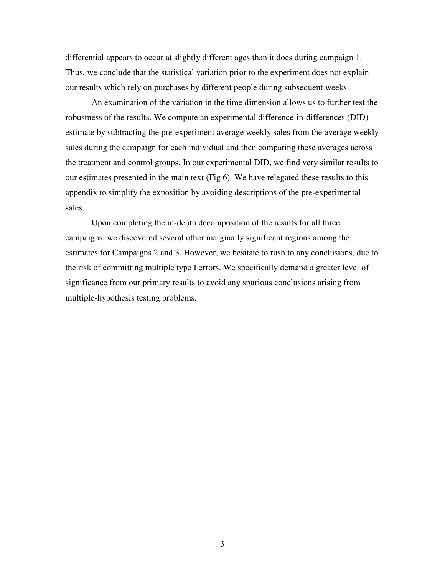differential appears to occur at slightly different ages than it does during campaign 1. Thus, we conclude that the statistical variation prior to the experiment does not explain our results which rely on purchases by different people during subsequent weeks.

An examination of the variation in the time dimension allows us to further test the robustness of the results. We compute an experimental difference-in-differences (DID) estimate by subtracting the pre-experiment average weekly sales from the average weekly sales during the campaign for each individual and then comparing these averages across the treatment and control groups. In our experimental DID, we find very similar results to our estimates presented in the main text (Fig 6). We have relegated these results to this appendix to simplify the exposition by avoiding descriptions of the pre-experimental sales.

Upon completing the in-depth decomposition of the results for all three campaigns, we discovered several other marginally significant regions among the estimates for Campaigns 2 and 3. However, we hesitate to rush to any conclusions, due to the risk of committing multiple type I errors. We specifically demand a greater level of significance from our primary results to avoid any spurious conclusions arising from multiple-hypothesis testing problems.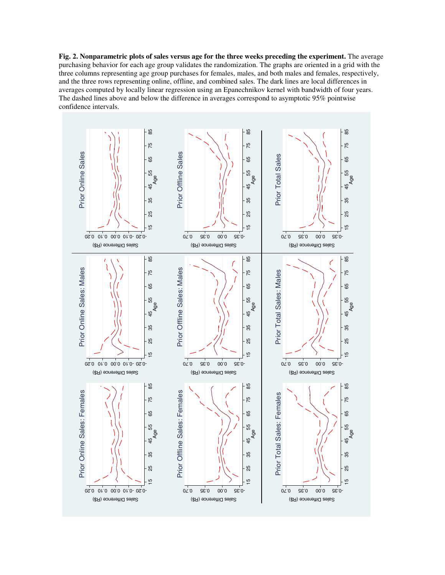**Fig. 2. Nonparametric plots of sales versus age for the three weeks preceding the experiment.** The average purchasing behavior for each age group validates the randomization. The graphs are oriented in a grid with the three columns representing age group purchases for females, males, and both males and females, respectively, and the three rows representing online, offline, and combined sales. The dark lines are local differences in averages computed by locally linear regression using an Epanechnikov kernel with bandwidth of four years. The dashed lines above and below the difference in averages correspond to asymptotic 95% pointwise confidence intervals.

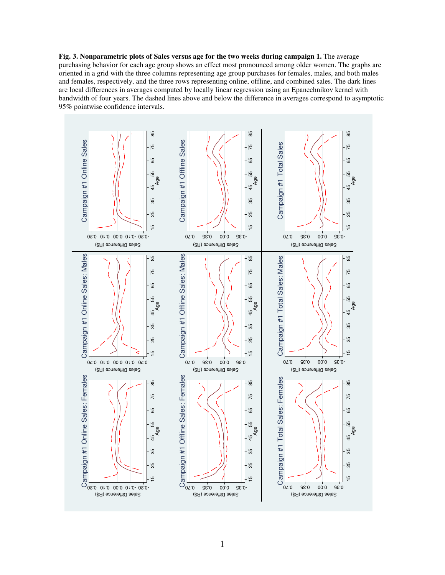**Fig. 3. Nonparametric plots of Sales versus age for the two weeks during campaign 1.** The average purchasing behavior for each age group shows an effect most pronounced among older women. The graphs are oriented in a grid with the three columns representing age group purchases for females, males, and both males and females, respectively, and the three rows representing online, offline, and combined sales. The dark lines are local differences in averages computed by locally linear regression using an Epanechnikov kernel with bandwidth of four years. The dashed lines above and below the difference in averages correspond to asymptotic 95% pointwise confidence intervals.

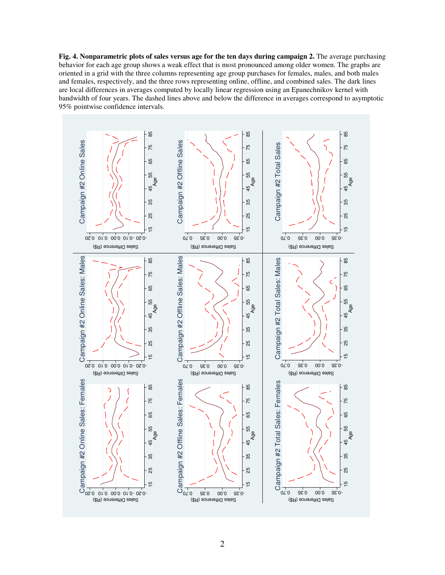**Fig. 4. Nonparametric plots of sales versus age for the ten days during campaign 2.** The average purchasing behavior for each age group shows a weak effect that is most pronounced among older women. The graphs are oriented in a grid with the three columns representing age group purchases for females, males, and both males and females, respectively, and the three rows representing online, offline, and combined sales. The dark lines are local differences in averages computed by locally linear regression using an Epanechnikov kernel with bandwidth of four years. The dashed lines above and below the difference in averages correspond to asymptotic 95% pointwise confidence intervals.

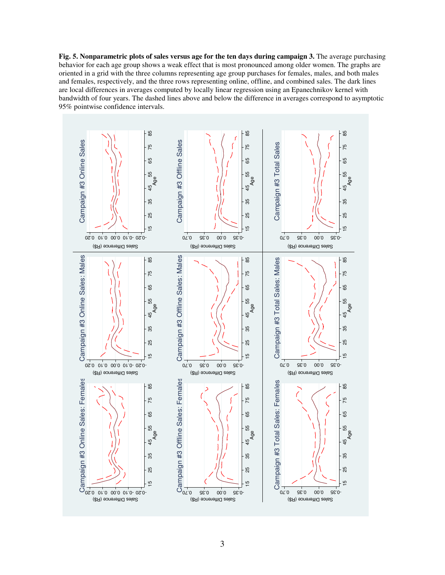**Fig. 5. Nonparametric plots of sales versus age for the ten days during campaign 3.** The average purchasing behavior for each age group shows a weak effect that is most pronounced among older women. The graphs are oriented in a grid with the three columns representing age group purchases for females, males, and both males and females, respectively, and the three rows representing online, offline, and combined sales. The dark lines are local differences in averages computed by locally linear regression using an Epanechnikov kernel with bandwidth of four years. The dashed lines above and below the difference in averages correspond to asymptotic 95% pointwise confidence intervals.